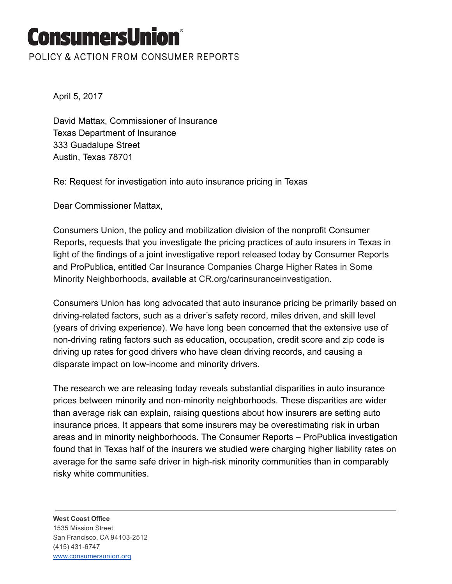## **ConsumersUnion**°

POLICY & ACTION FROM CONSUMER REPORTS

April 5, 2017

David Mattax, Commissioner of Insurance Texas Department of Insurance 333 Guadalupe Street Austin, Texas 78701

Re: Request for investigation into auto insurance pricing in Texas

Dear Commissioner Mattax,

Consumers Union, the policy and mobilization division of the nonprofit Consumer Reports, requests that you investigate the pricing practices of auto insurers in Texas in light of the findings of a joint investigative report released today by Consumer Reports and ProPublica, entitled Car Insurance Companies Charge Higher Rates in Some Minority Neighborhoods, available at CR.org/carinsuranceinvestigation.

Consumers Union has long advocated that auto insurance pricing be primarily based on driving-related factors, such as a driver's safety record, miles driven, and skill level (years of driving experience). We have long been concerned that the extensive use of non-driving rating factors such as education, occupation, credit score and zip code is driving up rates for good drivers who have clean driving records, and causing a disparate impact on low-income and minority drivers.

The research we are releasing today reveals substantial disparities in auto insurance prices between minority and non-minority neighborhoods. These disparities are wider than average risk can explain, raising questions about how insurers are setting auto insurance prices. It appears that some insurers may be overestimating risk in urban areas and in minority neighborhoods. The Consumer Reports – ProPublica investigation found that in Texas half of the insurers we studied were charging higher liability rates on average for the same safe driver in high-risk minority communities than in comparably risky white communities.

West Coast Office 1535 Mission Street San Francisco, CA 94103-2512 (415) 431-6747 [www.consumersunion.org](http://www.consumersunion.org/)